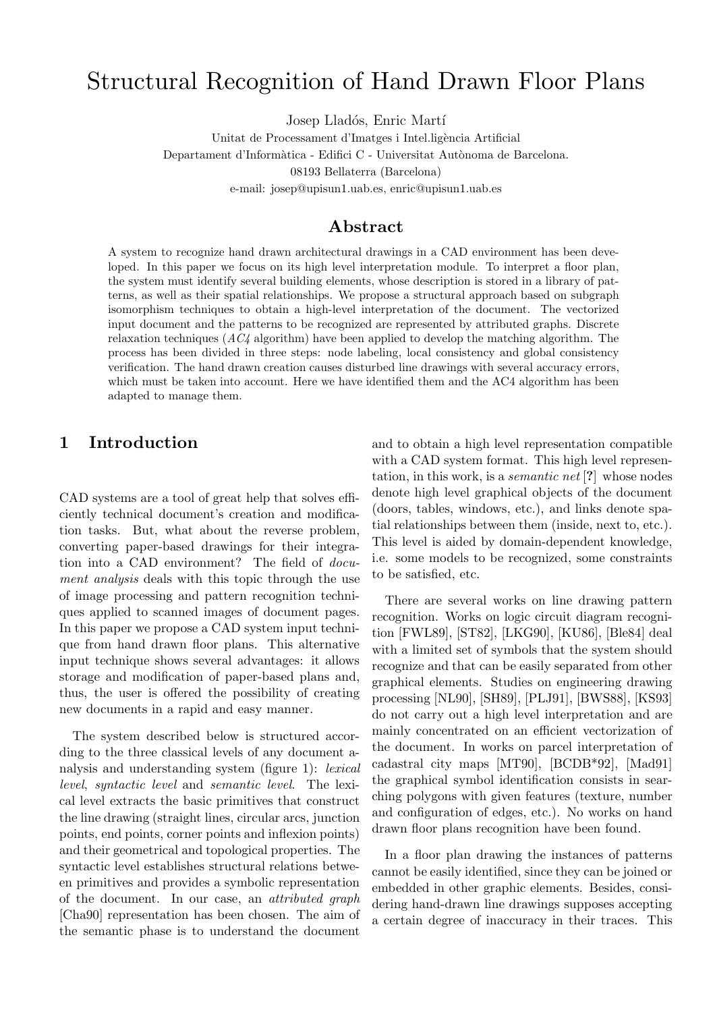# Structural Recognition of Hand Drawn Floor Plans

Josep Lladós, Enric Martí

Unitat de Processament d'Imatges i Intel.ligència Artificial Departament d'Informàtica - Edifici C - Universitat Autònoma de Barcelona. 08193 Bellaterra (Barcelona)

e-mail: josep@upisun1.uab.es, enric@upisun1.uab.es

## Abstract

A system to recognize hand drawn architectural drawings in a CAD environment has been developed. In this paper we focus on its high level interpretation module. To interpret a floor plan, the system must identify several building elements, whose description is stored in a library of patterns, as well as their spatial relationships. We propose a structural approach based on subgraph isomorphism techniques to obtain a high-level interpretation of the document. The vectorized input document and the patterns to be recognized are represented by attributed graphs. Discrete relaxation techniques  $(AC4$  algorithm) have been applied to develop the matching algorithm. The process has been divided in three steps: node labeling, local consistency and global consistency verification. The hand drawn creation causes disturbed line drawings with several accuracy errors, which must be taken into account. Here we have identified them and the AC4 algorithm has been adapted to manage them.

# 1 Introduction

CAD systems are a tool of great help that solves efficiently technical document's creation and modification tasks. But, what about the reverse problem, converting paper-based drawings for their integration into a CAD environment? The field of document analysis deals with this topic through the use of image processing and pattern recognition techniques applied to scanned images of document pages. In this paper we propose a CAD system input technique from hand drawn floor plans. This alternative input technique shows several advantages: it allows storage and modification of paper-based plans and, thus, the user is offered the possibility of creating new documents in a rapid and easy manner.

The system described below is structured according to the three classical levels of any document analysis and understanding system (figure 1): lexical level, syntactic level and semantic level. The lexical level extracts the basic primitives that construct the line drawing (straight lines, circular arcs, junction points, end points, corner points and inflexion points) and their geometrical and topological properties. The syntactic level establishes structural relations between primitives and provides a symbolic representation of the document. In our case, an attributed graph [Cha90] representation has been chosen. The aim of the semantic phase is to understand the document

and to obtain a high level representation compatible with a CAD system format. This high level representation, in this work, is a semantic net [?] whose nodes denote high level graphical objects of the document (doors, tables, windows, etc.), and links denote spatial relationships between them (inside, next to, etc.). This level is aided by domain-dependent knowledge, i.e. some models to be recognized, some constraints to be satisfied, etc.

There are several works on line drawing pattern recognition. Works on logic circuit diagram recognition [FWL89], [ST82], [LKG90], [KU86], [Ble84] deal with a limited set of symbols that the system should recognize and that can be easily separated from other graphical elements. Studies on engineering drawing processing [NL90], [SH89], [PLJ91], [BWS88], [KS93] do not carry out a high level interpretation and are mainly concentrated on an efficient vectorization of the document. In works on parcel interpretation of cadastral city maps [MT90], [BCDB\*92], [Mad91] the graphical symbol identification consists in searching polygons with given features (texture, number and configuration of edges, etc.). No works on hand drawn floor plans recognition have been found.

In a floor plan drawing the instances of patterns cannot be easily identified, since they can be joined or embedded in other graphic elements. Besides, considering hand-drawn line drawings supposes accepting a certain degree of inaccuracy in their traces. This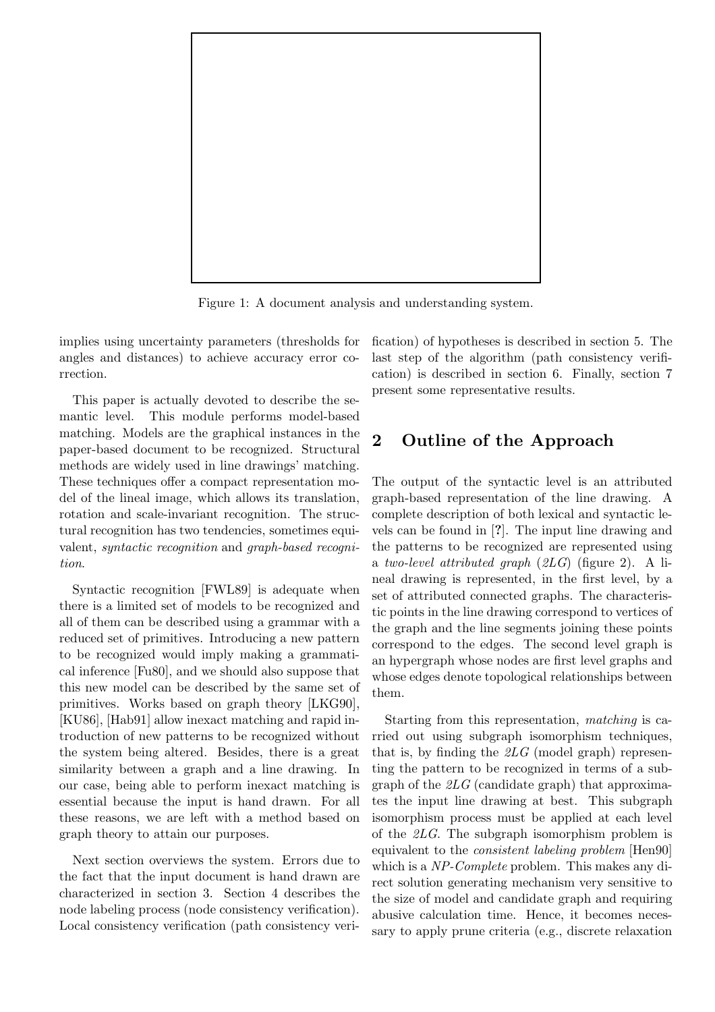

Figure 1: A document analysis and understanding system.

implies using uncertainty parameters (thresholds for angles and distances) to achieve accuracy error correction.

This paper is actually devoted to describe the semantic level. This module performs model-based matching. Models are the graphical instances in the paper-based document to be recognized. Structural methods are widely used in line drawings' matching. These techniques offer a compact representation model of the lineal image, which allows its translation, rotation and scale-invariant recognition. The structural recognition has two tendencies, sometimes equivalent, syntactic recognition and graph-based recognition.

Syntactic recognition [FWL89] is adequate when there is a limited set of models to be recognized and all of them can be described using a grammar with a reduced set of primitives. Introducing a new pattern to be recognized would imply making a grammatical inference [Fu80], and we should also suppose that this new model can be described by the same set of primitives. Works based on graph theory [LKG90], [KU86], [Hab91] allow inexact matching and rapid introduction of new patterns to be recognized without the system being altered. Besides, there is a great similarity between a graph and a line drawing. In our case, being able to perform inexact matching is essential because the input is hand drawn. For all these reasons, we are left with a method based on graph theory to attain our purposes.

Next section overviews the system. Errors due to the fact that the input document is hand drawn are characterized in section 3. Section 4 describes the node labeling process (node consistency verification). Local consistency verification (path consistency verification) of hypotheses is described in section 5. The last step of the algorithm (path consistency verification) is described in section 6. Finally, section 7 present some representative results.

# 2 Outline of the Approach

The output of the syntactic level is an attributed graph-based representation of the line drawing. A complete description of both lexical and syntactic levels can be found in [?]. The input line drawing and the patterns to be recognized are represented using a two-level attributed graph  $(2LG)$  (figure 2). A lineal drawing is represented, in the first level, by a set of attributed connected graphs. The characteristic points in the line drawing correspond to vertices of the graph and the line segments joining these points correspond to the edges. The second level graph is an hypergraph whose nodes are first level graphs and whose edges denote topological relationships between them.

Starting from this representation, matching is carried out using subgraph isomorphism techniques, that is, by finding the  $2LG$  (model graph) representing the pattern to be recognized in terms of a subgraph of the  $2LG$  (candidate graph) that approximates the input line drawing at best. This subgraph isomorphism process must be applied at each level of the 2LG. The subgraph isomorphism problem is equivalent to the consistent labeling problem [Hen90] which is a NP-Complete problem. This makes any direct solution generating mechanism very sensitive to the size of model and candidate graph and requiring abusive calculation time. Hence, it becomes necessary to apply prune criteria (e.g., discrete relaxation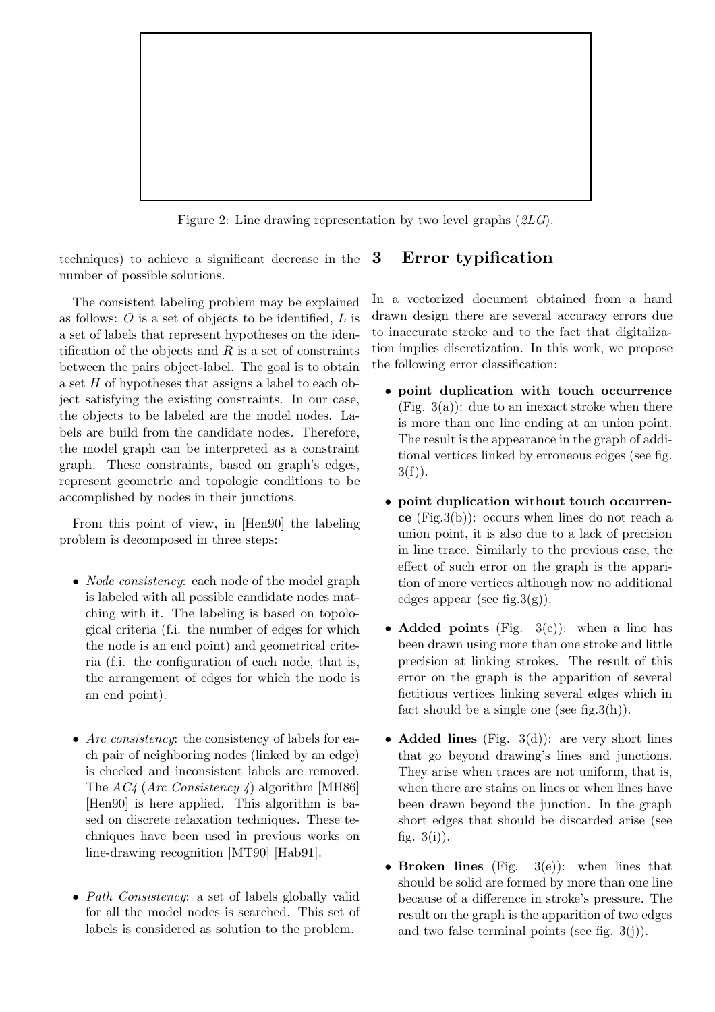

Figure 2: Line drawing representation by two level graphs (2LG).

techniques) to achieve a significant decrease in the number of possible solutions. 3 Error typification

The consistent labeling problem may be explained as follows:  $\hat{O}$  is a set of objects to be identified,  $\hat{L}$  is a set of labels that represent hypotheses on the identification of the objects and  $R$  is a set of constraints between the pairs object-label. The goal is to obtain a set H of hypotheses that assigns a label to each object satisfying the existing constraints. In our case, the objects to be labeled are the model nodes. Labels are build from the candidate nodes. Therefore, the model graph can be interpreted as a constraint graph. These constraints, based on graph's edges, represent geometric and topologic conditions to be accomplished by nodes in their junctions.

From this point of view, in [Hen90] the labeling problem is decomposed in three steps:

- *Node consistency*: each node of the model graph is labeled with all possible candidate nodes matching with it. The labeling is based on topological criteria (f.i. the number of edges for which the node is an end point) and geometrical criteria (f.i. the configuration of each node, that is, the arrangement of edges for which the node is an end point).
- Arc consistency: the consistency of labels for each pair of neighboring nodes (linked by an edge) is checked and inconsistent labels are removed. The  $AC4$  (Arc Consistency 4) algorithm [MH86] [Hen90] is here applied. This algorithm is based on discrete relaxation techniques. These techniques have been used in previous works on line-drawing recognition [MT90] [Hab91].
- Path Consistency: a set of labels globally valid for all the model nodes is searched. This set of labels is considered as solution to the problem.

In a vectorized document obtained from a hand drawn design there are several accuracy errors due to inaccurate stroke and to the fact that digitalization implies discretization. In this work, we propose the following error classification:

- point duplication with touch occurrence  $(Fig. 3(a))$ : due to an inexact stroke when there is more than one line ending at an union point. The result is the appearance in the graph of additional vertices linked by erroneous edges (see fig.  $3(f)$ ).
- point duplication without touch occurrence (Fig.3(b)): occurs when lines do not reach a union point, it is also due to a lack of precision in line trace. Similarly to the previous case, the effect of such error on the graph is the apparition of more vertices although now no additional edges appear (see fig.  $3(g)$ ).
- Added points (Fig.  $3(c)$ ): when a line has been drawn using more than one stroke and little precision at linking strokes. The result of this error on the graph is the apparition of several fictitious vertices linking several edges which in fact should be a single one (see fig.  $3(h)$ ).
- Added lines (Fig.  $3(d)$ ): are very short lines that go beyond drawing's lines and junctions. They arise when traces are not uniform, that is, when there are stains on lines or when lines have been drawn beyond the junction. In the graph short edges that should be discarded arise (see fig.  $3(i)$ ).
- Broken lines (Fig.  $3(e)$ ): when lines that should be solid are formed by more than one line because of a difference in stroke's pressure. The result on the graph is the apparition of two edges and two false terminal points (see fig. 3(j)).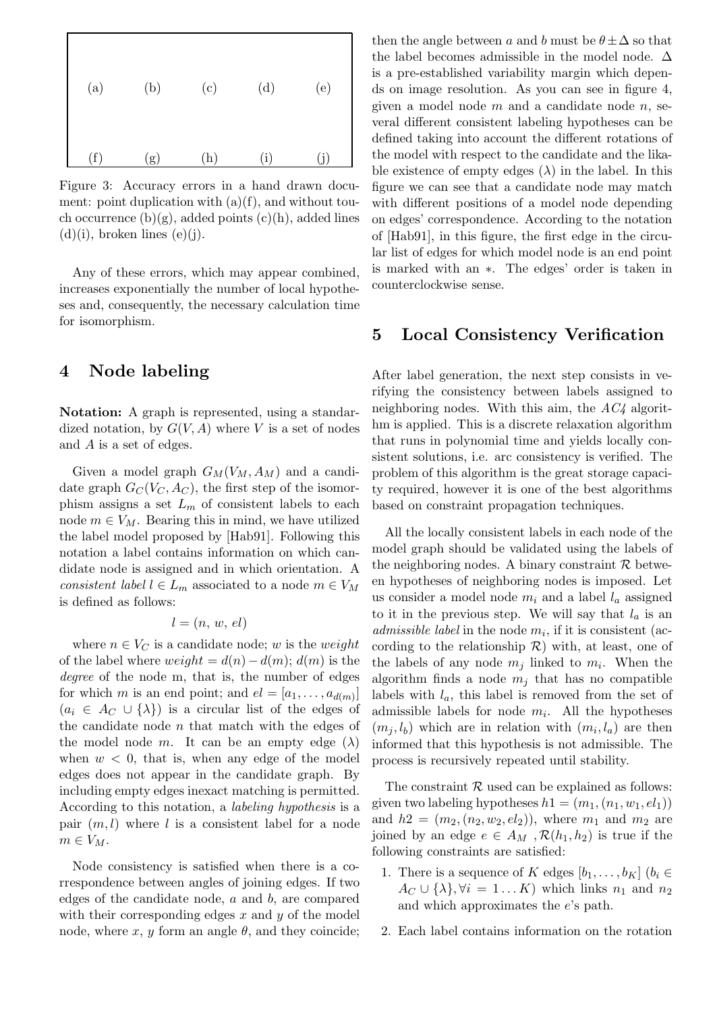

Figure 3: Accuracy errors in a hand drawn document: point duplication with  $(a)(f)$ , and without touch occurrence  $(b)(g)$ , added points  $(c)(h)$ , added lines  $(d)(i)$ , broken lines  $(e)(j)$ .

Any of these errors, which may appear combined, increases exponentially the number of local hypotheses and, consequently, the necessary calculation time for isomorphism.

## 4 Node labeling

Notation: A graph is represented, using a standardized notation, by  $G(V, A)$  where V is a set of nodes and A is a set of edges.

Given a model graph  $G_M(V_M, A_M)$  and a candidate graph  $G_C(V_C, A_C)$ , the first step of the isomorphism assigns a set  $L_m$  of consistent labels to each node  $m \in V_M$ . Bearing this in mind, we have utilized the label model proposed by [Hab91]. Following this notation a label contains information on which candidate node is assigned and in which orientation. A consistent label  $l \in L_m$  associated to a node  $m \in V_M$ is defined as follows:

$$
l = (n, w, el)
$$

where  $n \in V_C$  is a candidate node; w is the weight of the label where  $weight = d(n) - d(m)$ ;  $d(m)$  is the degree of the node m, that is, the number of edges for which m is an end point; and  $el = [a_1, \ldots, a_{d(m)}]$  $(a_i \in A_C \cup \{\lambda\})$  is a circular list of the edges of the candidate node  $n$  that match with the edges of the model node m. It can be an empty edge  $(\lambda)$ when  $w < 0$ , that is, when any edge of the model edges does not appear in the candidate graph. By including empty edges inexact matching is permitted. According to this notation, a labeling hypothesis is a pair  $(m, l)$  where l is a consistent label for a node  $m \in V_M$ .

Node consistency is satisfied when there is a correspondence between angles of joining edges. If two edges of the candidate node,  $a$  and  $b$ , are compared with their corresponding edges  $x$  and  $y$  of the model node, where x, y form an angle  $\theta$ , and they coincide;

then the angle between a and b must be  $\theta \pm \Delta$  so that the label becomes admissible in the model node.  $\Delta$ is a pre-established variability margin which depends on image resolution. As you can see in figure 4, given a model node  $m$  and a candidate node  $n$ , several different consistent labeling hypotheses can be defined taking into account the different rotations of the model with respect to the candidate and the likable existence of empty edges  $(\lambda)$  in the label. In this figure we can see that a candidate node may match with different positions of a model node depending on edges' correspondence. According to the notation of [Hab91], in this figure, the first edge in the circular list of edges for which model node is an end point is marked with an ∗. The edges' order is taken in counterclockwise sense.

#### 5 Local Consistency Verification

After label generation, the next step consists in verifying the consistency between labels assigned to neighboring nodes. With this aim, the  $AC<sub>4</sub>$  algorithm is applied. This is a discrete relaxation algorithm that runs in polynomial time and yields locally consistent solutions, i.e. arc consistency is verified. The problem of this algorithm is the great storage capacity required, however it is one of the best algorithms based on constraint propagation techniques.

All the locally consistent labels in each node of the model graph should be validated using the labels of the neighboring nodes. A binary constraint  $\mathcal R$  between hypotheses of neighboring nodes is imposed. Let us consider a model node  $m_i$  and a label  $l_a$  assigned to it in the previous step. We will say that  $l_a$  is an *admissible label* in the node  $m_i$ , if it is consistent (according to the relationship  $\mathcal{R}$ ) with, at least, one of the labels of any node  $m_i$  linked to  $m_i$ . When the algorithm finds a node  $m_i$  that has no compatible labels with  $l_a$ , this label is removed from the set of admissible labels for node  $m_i$ . All the hypotheses  $(m_i, l_b)$  which are in relation with  $(m_i, l_a)$  are then informed that this hypothesis is not admissible. The process is recursively repeated until stability.

The constraint  $R$  used can be explained as follows: given two labeling hypotheses  $h1=(m_1,(n_1, w_1, el_1))$ and  $h2=(m_2,(n_2, w_2, el_2))$ , where  $m_1$  and  $m_2$  are joined by an edge  $e \in A_M$ ,  $\mathcal{R}(h_1, h_2)$  is true if the following constraints are satisfied:

- 1. There is a sequence of K edges  $[b_1, \ldots, b_K]$   $(b_i \in$  $A_C \cup \{\lambda\}, \forall i = 1...K$  which links  $n_1$  and  $n_2$ and which approximates the e's path.
- 2. Each label contains information on the rotation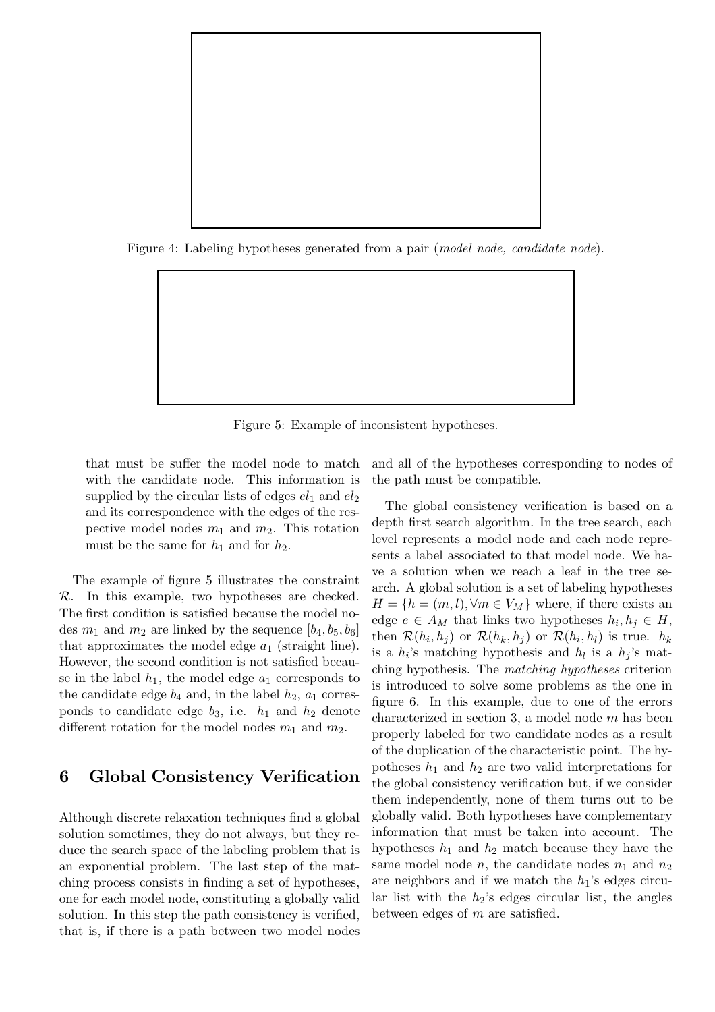

Figure 4: Labeling hypotheses generated from a pair (*model node*, *candidate node*).



that must be suffer the model node to match with the candidate node. This information is supplied by the circular lists of edges  $el_1$  and  $el_2$ and its correspondence with the edges of the respective model nodes  $m_1$  and  $m_2$ . This rotation must be the same for  $h_1$  and for  $h_2$ .

The example of figure 5 illustrates the constraint  $\mathcal{R}$ . In this example, two hypotheses are checked. The first condition is satisfied because the model nodes  $m_1$  and  $m_2$  are linked by the sequence  $[b_4, b_5, b_6]$ that approximates the model edge  $a_1$  (straight line). However, the second condition is not satisfied because in the label  $h_1$ , the model edge  $a_1$  corresponds to the candidate edge  $b_4$  and, in the label  $h_2$ ,  $a_1$  corresponds to candidate edge  $b_3$ , i.e.  $h_1$  and  $h_2$  denote different rotation for the model nodes  $m_1$  and  $m_2$ .

## 6 Global Consistency Verification

Although discrete relaxation techniques find a global solution sometimes, they do not always, but they reduce the search space of the labeling problem that is an exponential problem. The last step of the matching process consists in finding a set of hypotheses, one for each model node, constituting a globally valid solution. In this step the path consistency is verified, that is, if there is a path between two model nodes

and all of the hypotheses corresponding to nodes of the path must be compatible.

The global consistency verification is based on a depth first search algorithm. In the tree search, each level represents a model node and each node represents a label associated to that model node. We have a solution when we reach a leaf in the tree search. A global solution is a set of labeling hypotheses  $H = \{h = (m, l), \forall m \in V_M\}$  where, if there exists an edge  $e \in A_M$  that links two hypotheses  $h_i, h_j \in H$ , then  $\mathcal{R}(h_i, h_j)$  or  $\mathcal{R}(h_k, h_j)$  or  $\mathcal{R}(h_i, h_l)$  is true.  $h_k$ is a  $h_i$ 's matching hypothesis and  $h_l$  is a  $h_i$ 's matching hypothesis. The matching hypotheses criterion is introduced to solve some problems as the one in figure 6. In this example, due to one of the errors characterized in section 3, a model node  $m$  has been properly labeled for two candidate nodes as a result of the duplication of the characteristic point. The hypotheses  $h_1$  and  $h_2$  are two valid interpretations for the global consistency verification but, if we consider them independently, none of them turns out to be globally valid. Both hypotheses have complementary information that must be taken into account. The hypotheses  $h_1$  and  $h_2$  match because they have the same model node *n*, the candidate nodes  $n_1$  and  $n_2$ are neighbors and if we match the  $h_1$ 's edges circular list with the  $h_2$ 's edges circular list, the angles between edges of  $m$  are satisfied.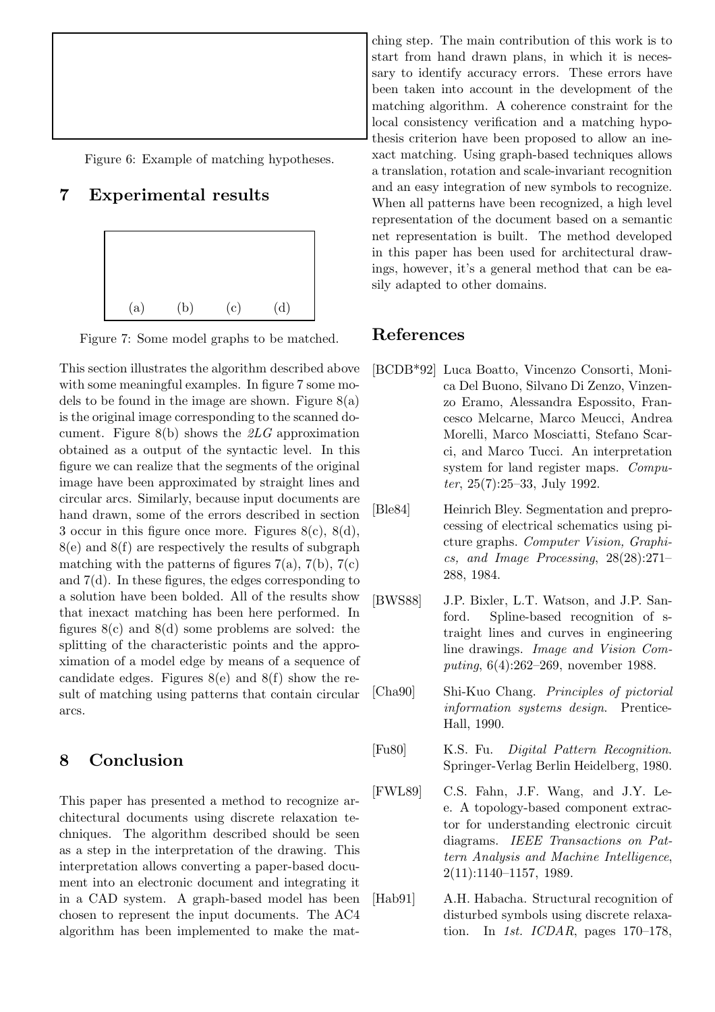Figure 6: Example of matching hypotheses.

# 7 Experimental results



Figure 7: Some model graphs to be matched.

This section illustrates the algorithm described above with some meaningful examples. In figure 7 some models to be found in the image are shown. Figure  $8(a)$ is the original image corresponding to the scanned document. Figure  $8(b)$  shows the  $2LG$  approximation obtained as a output of the syntactic level. In this figure we can realize that the segments of the original image have been approximated by straight lines and circular arcs. Similarly, because input documents are hand drawn, some of the errors described in section 3 occur in this figure once more. Figures 8(c), 8(d), 8(e) and 8(f) are respectively the results of subgraph matching with the patterns of figures  $7(a)$ ,  $7(b)$ ,  $7(c)$ and  $7(d)$ . In these figures, the edges corresponding to a solution have been bolded. All of the results show that inexact matching has been here performed. In figures  $8(c)$  and  $8(d)$  some problems are solved: the splitting of the characteristic points and the approximation of a model edge by means of a sequence of candidate edges. Figures  $8(e)$  and  $8(f)$  show the result of matching using patterns that contain circular arcs.

# 8 Conclusion

This paper has presented a method to recognize architectural documents using discrete relaxation techniques. The algorithm described should be seen as a step in the interpretation of the drawing. This interpretation allows converting a paper-based document into an electronic document and integrating it in a CAD system. A graph-based model has been chosen to represent the input documents. The AC4 algorithm has been implemented to make the matching step. The main contribution of this work is to start from hand drawn plans, in which it is necessary to identify accuracy errors. These errors have been taken into account in the development of the matching algorithm. A coherence constraint for the local consistency verification and a matching hypothesis criterion have been proposed to allow an inexact matching. Using graph-based techniques allows a translation, rotation and scale-invariant recognition and an easy integration of new symbols to recognize. When all patterns have been recognized, a high level representation of the document based on a semantic net representation is built. The method developed in this paper has been used for architectural drawings, however, it's a general method that can be easily adapted to other domains.

# References

- [BCDB\*92] Luca Boatto, Vincenzo Consorti, Monica Del Buono, Silvano Di Zenzo, Vinzenzo Eramo, Alessandra Espossito, Francesco Melcarne, Marco Meucci, Andrea Morelli, Marco Mosciatti, Stefano Scarci, and Marco Tucci. An interpretation system for land register maps. Computer, 25(7):25–33, July 1992.
- [Ble84] Heinrich Bley. Segmentation and preprocessing of electrical schematics using picture graphs. Computer Vision, Graphics, and Image Processing, 28(28):271– 288, 1984.
- [BWS88] J.P. Bixler, L.T. Watson, and J.P. Sanford. Spline-based recognition of straight lines and curves in engineering line drawings. Image and Vision Computing, 6(4):262–269, november 1988.
- [Cha90] Shi-Kuo Chang. Principles of pictorial information systems design. Prentice-Hall, 1990.
- [Fu80] K.S. Fu. Digital Pattern Recognition. Springer-Verlag Berlin Heidelberg, 1980.
- [FWL89] C.S. Fahn, J.F. Wang, and J.Y. Lee. A topology-based component extractor for understanding electronic circuit diagrams. IEEE Transactions on Pattern Analysis and Machine Intelligence, 2(11):1140–1157, 1989.
- [Hab91] A.H. Habacha. Structural recognition of disturbed symbols using discrete relaxation. In 1st.  $ICDAR$ , pages 170–178,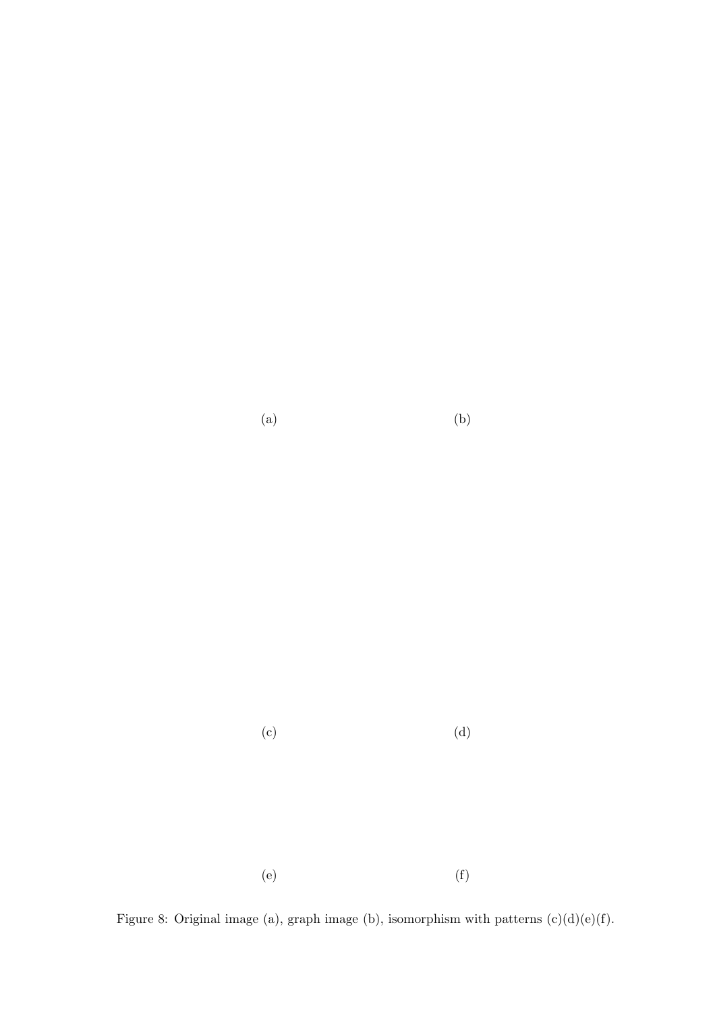$(a)$  (b)

 $\qquad \qquad \textbf{(c)}\qquad \qquad \textbf{(d)}$ 

 $(e)$  (f)

Figure 8: Original image (a), graph image (b), isomorphism with patterns  $(c)(d)(e)(f)$ .